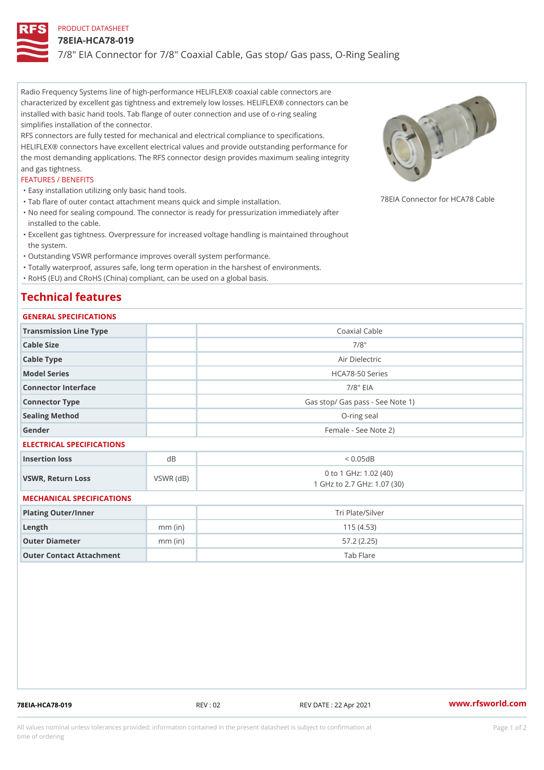# PRODUCT DATASHEET

### 78EIA-HCA78-019

7/8" EIA Connector for 7/8" Coaxial Cable, Gas stop/ Gas pass, O-Ring

Radio Frequency Systems line of high-performance HELIFLEX® coaxial cable connectors are characterized by excellent gas tightness and extremely low losses. HELIFLEX® connectors can be installed with basic hand tools. Tab flange of outer connection and use of o-ring sealing simplifies installation of the connector.

RFS connectors are fully tested for mechanical and electrical compliance to specifications. HELIFLEX® connectors have excellent electrical values and provide outstanding performance for the most demanding applications. The RFS connector design provides maximum sealing integrity and gas tightness.

### FEATURES / BENEFITS

"Easy installation utilizing only basic hand tools.

- "Tab flare of outer contact attachment means quick and simple insta $\bar{\eta}$ §  $\bar{\xi}$   $\vert$   $\theta_{\rm h}$  Connector for HCA78 Cal
- No need for sealing compound. The connector is ready for pressurization immediately after " installed to the cable.
- Excellent gas tightness. Overpressure for increased voltage handling is maintained throughout " the system.
- "Outstanding VSWR performance improves overall system performance.

"Totally waterproof, assures safe, long term operation in the harshest of environments.

"RoHS (EU) and CRoHS (China) compliant, can be used on a global basis.

# Technical features

# GENERAL SPECIFICATIONS

| Transmission Line Type    |           | Coaxial Cable                                        |
|---------------------------|-----------|------------------------------------------------------|
| Cable Size                |           | $7/8$ "                                              |
| Cable Type                |           | Air Dielectric                                       |
| Model Series              |           | HCA78-50 Series                                      |
| Connector Interface       |           | $7/8$ " EIA                                          |
| Connector Type            |           | Gas stop/ Gas pass - See Note 1)                     |
| Sealing Method            |           | O-ring seal                                          |
| Gender                    |           | Female - See Note 2)                                 |
| ELECTRICAL SPECIFICATIONS |           |                                                      |
| Insertion loss            | $d$ B     | < 0.05dB                                             |
| VSWR, Return Loss         | VSWR (dB) | 0 to 1 GHz: 1.02 (40)<br>1 GHz to 2.7 GHz: 1.07 (30) |
| MECHANICAL SPECIFICATIONS |           |                                                      |
| Plating Outer/Inner       |           | Tri Plate/Silver                                     |
| Length                    | $mm$ (in) | 115(4.53)                                            |
| Outer Diameter            | $mm$ (in) | 57.2(2.25)                                           |
| Outer Contact Attachment  |           | Tab Flare                                            |

78EIA-HCA78-019 REV : 02 REV DATE : 22 Apr 2021 [www.](https://www.rfsworld.com)rfsworld.com

All values nominal unless tolerances provided; information contained in the present datasheet is subject to Pcapgeign manation time of ordering